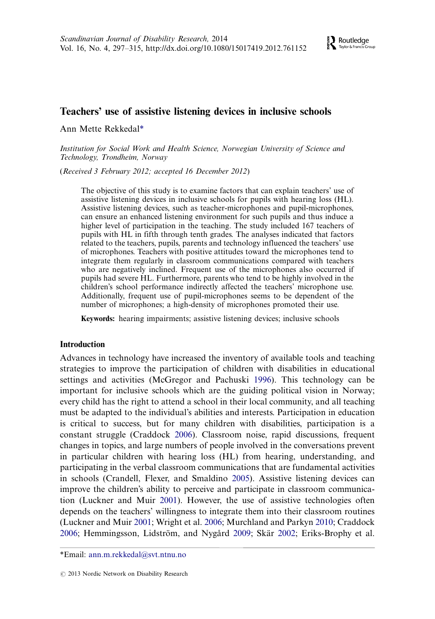# Teachers' use of assistive listening devices in inclusive schools

Ann Mette Rekkedal\*

Institution for Social Work and Health Science, Norwegian University of Science and Technology, Trondheim, Norway

(Received 3 February 2012; accepted 16 December 2012)

The objective of this study is to examine factors that can explain teachers' use of assistive listening devices in inclusive schools for pupils with hearing loss (HL). Assistive listening devices, such as teacher-microphones and pupil-microphones, can ensure an enhanced listening environment for such pupils and thus induce a higher level of participation in the teaching. The study included 167 teachers of pupils with HL in fifth through tenth grades. The analyses indicated that factors related to the teachers, pupils, parents and technology influenced the teachers' use of microphones. Teachers with positive attitudes toward the microphones tend to integrate them regularly in classroom communications compared with teachers who are negatively inclined. Frequent use of the microphones also occurred if pupils had severe HL. Furthermore, parents who tend to be highly involved in the children's school performance indirectly affected the teachers' microphone use. Additionally, frequent use of pupil-microphones seems to be dependent of the number of microphones; a high-density of microphones promoted their use.

Keywords: hearing impairments; assistive listening devices; inclusive schools

### **Introduction**

Advances in technology have increased the inventory of available tools and teaching strategies to improve the participation of children with disabilities in educational settings and activities (McGregor and Pachuski [1996\)](#page-17-0). This technology can be important for inclusive schools which are the guiding political vision in Norway; every child has the right to attend a school in their local community, and all teaching must be adapted to the individual's abilities and interests. Participation in education is critical to success, but for many children with disabilities, participation is a constant struggle (Craddock [2006](#page-17-0)). Classroom noise, rapid discussions, frequent changes in topics, and large numbers of people involved in the conversations prevent in particular children with hearing loss (HL) from hearing, understanding, and participating in the verbal classroom communications that are fundamental activities in schools (Crandell, Flexer, and Smaldino [2005](#page-17-0)). Assistive listening devices can improve the children's ability to perceive and participate in classroom communication (Luckner and Muir [2001](#page-17-0)). However, the use of assistive technologies often depends on the teachers' willingness to integrate them into their classroom routines (Luckner and Muir [2001;](#page-17-0) Wright et al. [2006;](#page-18-0) Murchland and Parkyn [2010;](#page-18-0) Craddock [2006;](#page-17-0) Hemmingsson, Lidström, and Nygård [2009](#page-17-0); Skär [2002](#page-18-0); Eriks-Brophy et al.

<sup>\*</sup>Email: [ann.m.rekkedal@svt.ntnu.no](mailto:ann.m.rekkedal@svt.ntnu.no)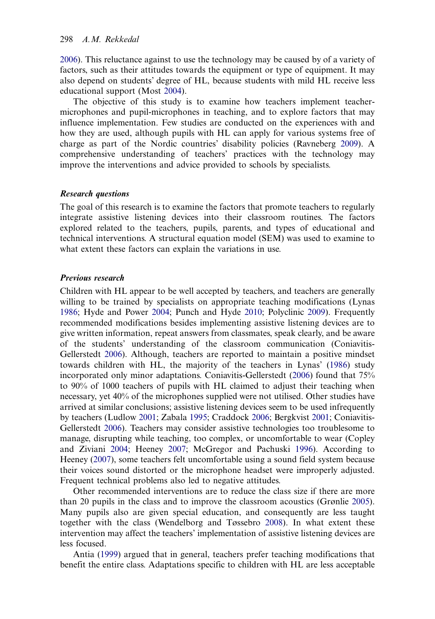[2006\)](#page-17-0). This reluctance against to use the technology may be caused by of a variety of factors, such as their attitudes towards the equipment or type of equipment. It may also depend on students' degree of HL, because students with mild HL receive less educational support (Most [2004\)](#page-18-0).

The objective of this study is to examine how teachers implement teachermicrophones and pupil-microphones in teaching, and to explore factors that may influence implementation. Few studies are conducted on the experiences with and how they are used, although pupils with HL can apply for various systems free of charge as part of the Nordic countries' disability policies (Ravneberg [2009](#page-18-0)). A comprehensive understanding of teachers' practices with the technology may improve the interventions and advice provided to schools by specialists.

#### Research questions

The goal of this research is to examine the factors that promote teachers to regularly integrate assistive listening devices into their classroom routines. The factors explored related to the teachers, pupils, parents, and types of educational and technical interventions. A structural equation model (SEM) was used to examine to what extent these factors can explain the variations in use.

#### Previous research

Children with HL appear to be well accepted by teachers, and teachers are generally willing to be trained by specialists on appropriate teaching modifications (Lynas [1986;](#page-17-0) Hyde and Power [2004](#page-17-0); Punch and Hyde [2010](#page-18-0); Polyclinic [2009\)](#page-18-0). Frequently recommended modifications besides implementing assistive listening devices are to give written information, repeat answers from classmates, speak clearly, and be aware of the students' understanding of the classroom communication (Coniavitis-Gellerstedt [2006](#page-16-0)). Although, teachers are reported to maintain a positive mindset towards children with HL, the majority of the teachers in Lynas' ([1986\)](#page-17-0) study incorporated only minor adaptations. Coniavitis-Gellerstedt ([2006\)](#page-16-0) found that 75% to 90% of 1000 teachers of pupils with HL claimed to adjust their teaching when necessary, yet 40% of the microphones supplied were not utilised. Other studies have arrived at similar conclusions; assistive listening devices seem to be used infrequently by teachers (Ludlow [2001](#page-17-0); Zabala [1995;](#page-18-0) Craddock [2006;](#page-17-0) Bergkvist [2001;](#page-16-0) Coniavitis-Gellerstedt [2006](#page-16-0)). Teachers may consider assistive technologies too troublesome to manage, disrupting while teaching, too complex, or uncomfortable to wear (Copley and Ziviani [2004](#page-17-0); Heeney [2007;](#page-17-0) McGregor and Pachuski [1996\)](#page-17-0). According to Heeney ([2007\)](#page-17-0), some teachers felt uncomfortable using a sound field system because their voices sound distorted or the microphone headset were improperly adjusted. Frequent technical problems also led to negative attitudes.

Other recommended interventions are to reduce the class size if there are more than 20 pupils in the class and to improve the classroom acoustics (Grønlie [2005](#page-17-0)). Many pupils also are given special education, and consequently are less taught together with the class (Wendelborg and Tøssebro [2008\)](#page-18-0). In what extent these intervention may affect the teachers' implementation of assistive listening devices are less focused.

Antia ([1999\)](#page-16-0) argued that in general, teachers prefer teaching modifications that benefit the entire class. Adaptations specific to children with HL are less acceptable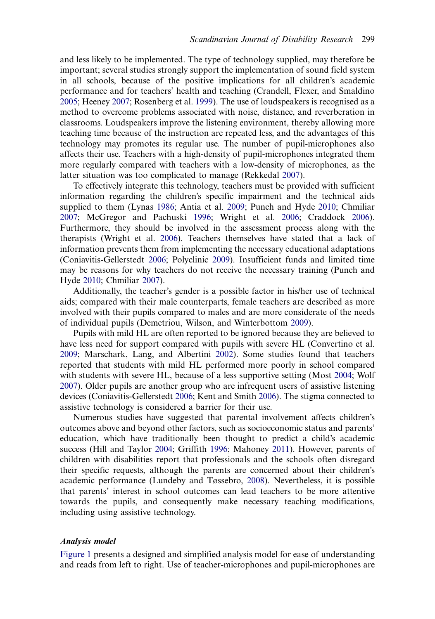and less likely to be implemented. The type of technology supplied, may therefore be important; several studies strongly support the implementation of sound field system in all schools, because of the positive implications for all children's academic performance and for teachers' health and teaching (Crandell, Flexer, and Smaldino [2005;](#page-17-0) Heeney [2007](#page-17-0); Rosenberg et al. [1999\)](#page-18-0). The use of loudspeakers is recognised as a method to overcome problems associated with noise, distance, and reverberation in classrooms. Loudspeakers improve the listening environment, thereby allowing more teaching time because of the instruction are repeated less, and the advantages of this technology may promotes its regular use. The number of pupil-microphones also affects their use. Teachers with a high-density of pupil-microphones integrated them more regularly compared with teachers with a low-density of microphones, as the latter situation was too complicated to manage (Rekkedal [2007](#page-18-0)).

To effectively integrate this technology, teachers must be provided with sufficient information regarding the children's specific impairment and the technical aids supplied to them (Lynas [1986;](#page-17-0) Antia et al. [2009;](#page-16-0) Punch and Hyde [2010;](#page-18-0) Chmiliar [2007;](#page-16-0) McGregor and Pachuski [1996](#page-17-0); Wright et al. [2006](#page-18-0); Craddock [2006](#page-17-0)). Furthermore, they should be involved in the assessment process along with the therapists (Wright et al. [2006\)](#page-18-0). Teachers themselves have stated that a lack of information prevents them from implementing the necessary educational adaptations (Coniavitis-Gellerstedt [2006](#page-16-0); Polyclinic [2009\)](#page-18-0). Insufficient funds and limited time may be reasons for why teachers do not receive the necessary training (Punch and Hyde [2010](#page-18-0); Chmiliar [2007](#page-16-0)).

Additionally, the teacher's gender is a possible factor in his/her use of technical aids; compared with their male counterparts, female teachers are described as more involved with their pupils compared to males and are more considerate of the needs of individual pupils (Demetriou, Wilson, and Winterbottom [2009\)](#page-17-0).

Pupils with mild HL are often reported to be ignored because they are believed to have less need for support compared with pupils with severe HL (Convertino et al. [2009;](#page-16-0) Marschark, Lang, and Albertini [2002\)](#page-17-0). Some studies found that teachers reported that students with mild HL performed more poorly in school compared with students with severe HL, because of a less supportive setting (Most [2004](#page-18-0); Wolf [2007\)](#page-18-0). Older pupils are another group who are infrequent users of assistive listening devices (Coniavitis-Gellerstedt [2006;](#page-16-0) Kent and Smith [2006](#page-17-0)). The stigma connected to assistive technology is considered a barrier for their use.

Numerous studies have suggested that parental involvement affects children's outcomes above and beyond other factors, such as socioeconomic status and parents' education, which have traditionally been thought to predict a child's academic success (Hill and Taylor [2004;](#page-17-0) Griffith [1996](#page-17-0); Mahoney [2011\)](#page-17-0). However, parents of children with disabilities report that professionals and the schools often disregard their specific requests, although the parents are concerned about their children's academic performance (Lundeby and Tøssebro, [2008](#page-17-0)). Nevertheless, it is possible that parents' interest in school outcomes can lead teachers to be more attentive towards the pupils, and consequently make necessary teaching modifications, including using assistive technology.

### Analysis model

[Figure 1](#page-3-0) presents a designed and simplified analysis model for ease of understanding and reads from left to right. Use of teacher-microphones and pupil-microphones are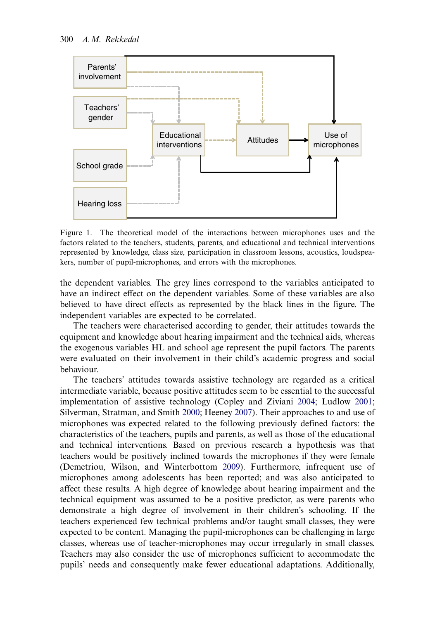<span id="page-3-0"></span>

Figure 1. The theoretical model of the interactions between microphones uses and the factors related to the teachers, students, parents, and educational and technical interventions represented by knowledge, class size, participation in classroom lessons, acoustics, loudspeakers, number of pupil-microphones, and errors with the microphones.

the dependent variables. The grey lines correspond to the variables anticipated to have an indirect effect on the dependent variables. Some of these variables are also believed to have direct effects as represented by the black lines in the figure. The independent variables are expected to be correlated.

The teachers were characterised according to gender, their attitudes towards the equipment and knowledge about hearing impairment and the technical aids, whereas the exogenous variables HL and school age represent the pupil factors. The parents were evaluated on their involvement in their child's academic progress and social behaviour.

The teachers' attitudes towards assistive technology are regarded as a critical intermediate variable, because positive attitudes seem to be essential to the successful implementation of assistive technology (Copley and Ziviani [2004](#page-17-0); Ludlow [2001](#page-17-0); Silverman, Stratman, and Smith [2000;](#page-18-0) Heeney [2007](#page-17-0)). Their approaches to and use of microphones was expected related to the following previously defined factors: the characteristics of the teachers, pupils and parents, as well as those of the educational and technical interventions. Based on previous research a hypothesis was that teachers would be positively inclined towards the microphones if they were female (Demetriou, Wilson, and Winterbottom [2009](#page-17-0)). Furthermore, infrequent use of microphones among adolescents has been reported; and was also anticipated to affect these results. A high degree of knowledge about hearing impairment and the technical equipment was assumed to be a positive predictor, as were parents who demonstrate a high degree of involvement in their children's schooling. If the teachers experienced few technical problems and/or taught small classes, they were expected to be content. Managing the pupil-microphones can be challenging in large classes, whereas use of teacher-microphones may occur irregularly in small classes. Teachers may also consider the use of microphones sufficient to accommodate the pupils' needs and consequently make fewer educational adaptations. Additionally,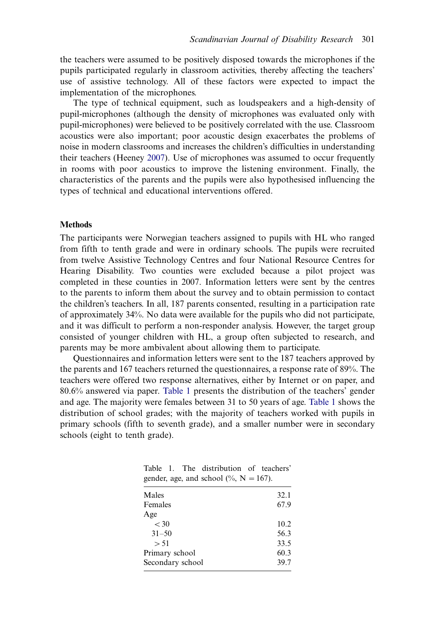the teachers were assumed to be positively disposed towards the microphones if the pupils participated regularly in classroom activities, thereby affecting the teachers' use of assistive technology. All of these factors were expected to impact the implementation of the microphones.

The type of technical equipment, such as loudspeakers and a high-density of pupil-microphones (although the density of microphones was evaluated only with pupil-microphones) were believed to be positively correlated with the use. Classroom acoustics were also important; poor acoustic design exacerbates the problems of noise in modern classrooms and increases the children's difficulties in understanding their teachers (Heeney [2007\)](#page-17-0). Use of microphones was assumed to occur frequently in rooms with poor acoustics to improve the listening environment. Finally, the characteristics of the parents and the pupils were also hypothesised influencing the types of technical and educational interventions offered.

## **Methods**

The participants were Norwegian teachers assigned to pupils with HL who ranged from fifth to tenth grade and were in ordinary schools. The pupils were recruited from twelve Assistive Technology Centres and four National Resource Centres for Hearing Disability. Two counties were excluded because a pilot project was completed in these counties in 2007. Information letters were sent by the centres to the parents to inform them about the survey and to obtain permission to contact the children's teachers. In all, 187 parents consented, resulting in a participation rate of approximately 34%. No data were available for the pupils who did not participate, and it was difficult to perform a non-responder analysis. However, the target group consisted of younger children with HL, a group often subjected to research, and parents may be more ambivalent about allowing them to participate.

Questionnaires and information letters were sent to the 187 teachers approved by the parents and 167 teachers returned the questionnaires, a response rate of 89%. The teachers were offered two response alternatives, either by Internet or on paper, and 80.6% answered via paper. Table 1 presents the distribution of the teachers' gender and age. The majority were females between 31 to 50 years of age. Table 1 shows the distribution of school grades; with the majority of teachers worked with pupils in primary schools (fifth to seventh grade), and a smaller number were in secondary schools (eight to tenth grade).

| Males            | 32.1 |
|------------------|------|
| Females          | 67.9 |
| Age              |      |
| < 30             | 10.2 |
| $31 - 50$        | 56.3 |
| > 51             | 33.5 |
| Primary school   | 60.3 |
| Secondary school | 39.7 |
|                  |      |

Table 1. The distribution of teachers' gender, age, and school  $\left(\frac{9}{6}\right)$ , N = 167).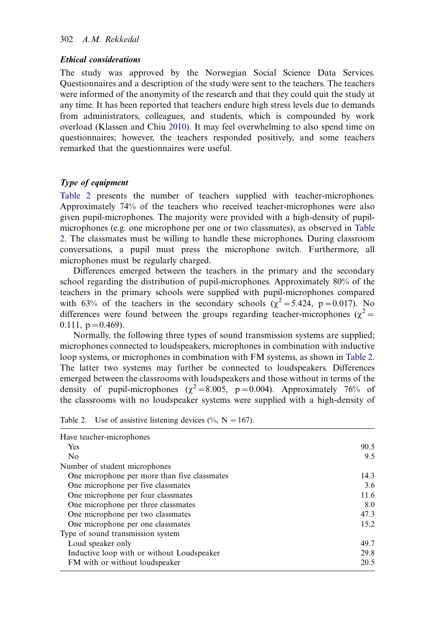## <span id="page-5-0"></span>302 A.M. Rekkedal

## Ethical considerations

The study was approved by the Norwegian Social Science Data Services. Questionnaires and a description of the study were sent to the teachers. The teachers were informed of the anonymity of the research and that they could quit the study at any time. It has been reported that teachers endure high stress levels due to demands from administrators, colleagues, and students, which is compounded by work overload (Klassen and Chiu [2010](#page-17-0)). It may feel overwhelming to also spend time on questionnaires; however, the teachers responded positively, and some teachers remarked that the questionnaires were useful.

## Type of equipment

Table 2 presents the number of teachers supplied with teacher-microphones. Approximately 74% of the teachers who received teacher-microphones were also given pupil-microphones. The majority were provided with a high-density of pupilmicrophones (e.g. one microphone per one or two classmates), as observed in Table 2. The classmates must be willing to handle these microphones. During classroom conversations, a pupil must press the microphone switch. Furthermore, all microphones must be regularly charged.

Differences emerged between the teachers in the primary and the secondary school regarding the distribution of pupil-microphones. Approximately 80% of the teachers in the primary schools were supplied with pupil-microphones compared with 63% of the teachers in the secondary schools  $(\chi^2 = 5.424, p = 0.017)$ . No differences were found between the groups regarding teacher-microphones ( $\chi^2$  = 0.111,  $p = 0.469$ .

Normally, the following three types of sound transmission systems are supplied; microphones connected to loudspeakers, microphones in combination with inductive loop systems, or microphones in combination with FM systems, as shown in Table 2. The latter two systems may further be connected to loudspeakers. Differences emerged between the classrooms with loudspeakers and those without in terms of the density of pupil-microphones ( $\chi^2 = 8.005$ , p = 0.004). Approximately 76% of the classrooms with no loudspeaker systems were supplied with a high-density of

| Have teacher-microphones                     |      |
|----------------------------------------------|------|
| Yes                                          | 90.5 |
| N <sub>0</sub>                               | 9.5  |
| Number of student microphones                |      |
| One microphone per more than five classmates | 14.3 |
| One microphone per five classmates           | 3.6  |
| One microphone per four classmates           | 11.6 |
| One microphone per three classmates          | 8.0  |
| One microphone per two classmates            | 47.3 |
| One microphone per one classmates            | 15.2 |
| Type of sound transmission system            |      |
| Loud speaker only                            | 49.7 |
| Inductive loop with or without Loudspeaker   | 29.8 |
| FM with or without loudspeaker               | 20.5 |

| Table 2. Use of assistive listening devices (%, $N = 167$ ). |  |  |  |  |  |  |  |
|--------------------------------------------------------------|--|--|--|--|--|--|--|
|--------------------------------------------------------------|--|--|--|--|--|--|--|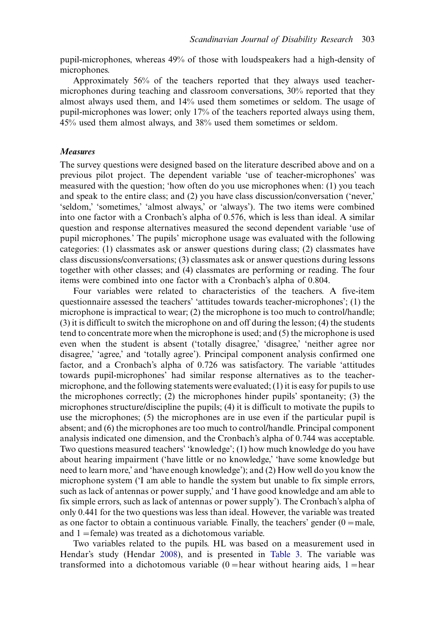pupil-microphones, whereas 49% of those with loudspeakers had a high-density of microphones.

Approximately 56% of the teachers reported that they always used teachermicrophones during teaching and classroom conversations, 30% reported that they almost always used them, and 14% used them sometimes or seldom. The usage of pupil-microphones was lower; only 17% of the teachers reported always using them, 45% used them almost always, and 38% used them sometimes or seldom.

## Measures

The survey questions were designed based on the literature described above and on a previous pilot project. The dependent variable 'use of teacher-microphones' was measured with the question; 'how often do you use microphones when: (1) you teach and speak to the entire class; and (2) you have class discussion/conversation ('never,' 'seldom,' 'sometimes,' 'almost always,' or 'always'). The two items were combined into one factor with a Cronbach's alpha of 0.576, which is less than ideal. A similar question and response alternatives measured the second dependent variable 'use of pupil microphones.' The pupils' microphone usage was evaluated with the following categories: (1) classmates ask or answer questions during class; (2) classmates have class discussions/conversations; (3) classmates ask or answer questions during lessons together with other classes; and (4) classmates are performing or reading. The four items were combined into one factor with a Cronbach's alpha of 0.804.

Four variables were related to characteristics of the teachers. A five-item questionnaire assessed the teachers' 'attitudes towards teacher-microphones'; (1) the microphone is impractical to wear; (2) the microphone is too much to control/handle; (3) it is difficult to switch the microphone on and off during the lesson; (4) the students tend to concentrate more when the microphone is used; and (5) the microphone is used even when the student is absent ('totally disagree,' 'disagree,' 'neither agree nor disagree,' 'agree,' and 'totally agree'). Principal component analysis confirmed one factor, and a Cronbach's alpha of 0.726 was satisfactory. The variable 'attitudes towards pupil-microphones' had similar response alternatives as to the teachermicrophone, and the following statements were evaluated; (1) it is easy for pupils to use the microphones correctly; (2) the microphones hinder pupils' spontaneity; (3) the microphones structure/discipline the pupils; (4) it is difficult to motivate the pupils to use the microphones; (5) the microphones are in use even if the particular pupil is absent; and (6) the microphones are too much to control/handle. Principal component analysis indicated one dimension, and the Cronbach's alpha of 0.744 was acceptable. Two questions measured teachers' 'knowledge'; (1) how much knowledge do you have about hearing impairment ('have little or no knowledge,' 'have some knowledge but need to learn more,' and 'have enough knowledge'); and (2) How well do you know the microphone system ('I am able to handle the system but unable to fix simple errors, such as lack of antennas or power supply,' and 'I have good knowledge and am able to fix simple errors, such as lack of antennas or power supply'). The Cronbach's alpha of only 0.441 for the two questions was less than ideal. However, the variable was treated as one factor to obtain a continuous variable. Finally, the teachers' gender  $(0 = male,$ and  $1 =$  female) was treated as a dichotomous variable.

Two variables related to the pupils. HL was based on a measurement used in Hendar's study (Hendar [2008\)](#page-17-0), and is presented in [Table 3](#page-7-0). The variable was transformed into a dichotomous variable  $(0)$  = hear without hearing aids, 1 = hear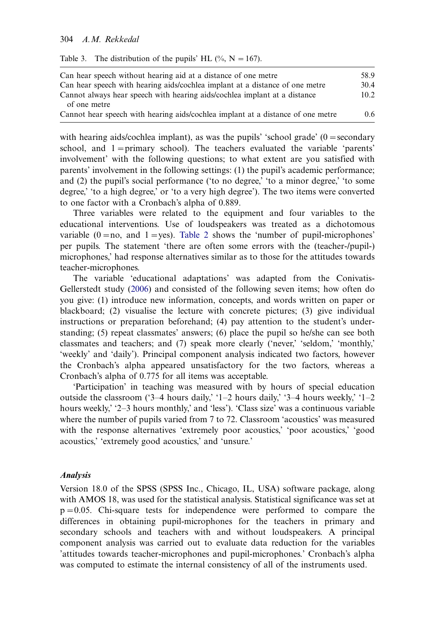## <span id="page-7-0"></span>304 A.M. Rekkedal

| 58.9 |
|------|
| 30.4 |
| 10.2 |
|      |
| 0.6  |
|      |

with hearing aids/cochlea implant), as was the pupils' 'school grade'  $(0 = \text{secondary})$ school, and  $1 = \text{primary school}$ . The teachers evaluated the variable 'parents' involvement' with the following questions; to what extent are you satisfied with parents' involvement in the following settings: (1) the pupil's academic performance; and (2) the pupil's social performance ('to no degree,' 'to a minor degree,' 'to some degree,' 'to a high degree,' or 'to a very high degree'). The two items were converted to one factor with a Cronbach's alpha of 0.889.

Three variables were related to the equipment and four variables to the educational interventions. Use of loudspeakers was treated as a dichotomous variable ( $0 = no$ , and  $1 = yes$ ). [Table 2](#page-5-0) shows the 'number of pupil-microphones' per pupils. The statement 'there are often some errors with the (teacher-/pupil-) microphones,' had response alternatives similar as to those for the attitudes towards teacher-microphones.

The variable 'educational adaptations' was adapted from the Conivatis-Gellerstedt study [\(2006](#page-16-0)) and consisted of the following seven items; how often do you give: (1) introduce new information, concepts, and words written on paper or blackboard; (2) visualise the lecture with concrete pictures; (3) give individual instructions or preparation beforehand; (4) pay attention to the student's understanding; (5) repeat classmates' answers; (6) place the pupil so he/she can see both classmates and teachers; and (7) speak more clearly ('never,' 'seldom,' 'monthly,' 'weekly' and 'daily'). Principal component analysis indicated two factors, however the Cronbach's alpha appeared unsatisfactory for the two factors, whereas a Cronbach's alpha of 0.775 for all items was acceptable.

'Participation' in teaching was measured with by hours of special education outside the classroom ('3–4 hours daily,' '1–2 hours daily,' '3–4 hours weekly,' '1–2 hours weekly,' '2-3 hours monthly,' and 'less'). 'Class size' was a continuous variable where the number of pupils varied from 7 to 72. Classroom 'acoustics' was measured with the response alternatives 'extremely poor acoustics,' 'poor acoustics,' 'good acoustics,' 'extremely good acoustics,' and 'unsure.'

#### Analysis

Version 18.0 of the SPSS (SPSS Inc., Chicago, IL, USA) software package, along with AMOS 18, was used for the statistical analysis. Statistical significance was set at  $p=0.05$ . Chi-square tests for independence were performed to compare the differences in obtaining pupil-microphones for the teachers in primary and secondary schools and teachers with and without loudspeakers. A principal component analysis was carried out to evaluate data reduction for the variables 'attitudes towards teacher-microphones and pupil-microphones.' Cronbach's alpha was computed to estimate the internal consistency of all of the instruments used.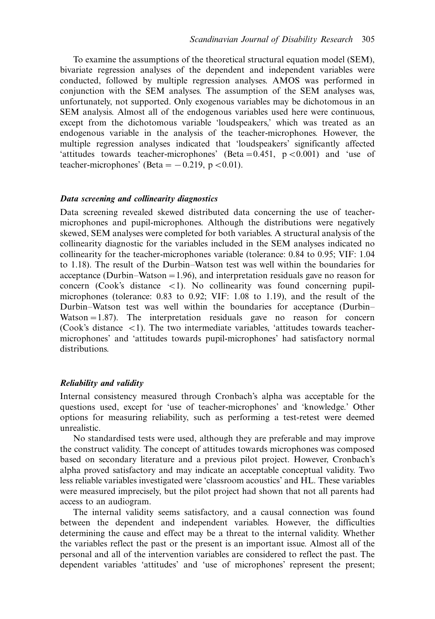To examine the assumptions of the theoretical structural equation model (SEM), bivariate regression analyses of the dependent and independent variables were conducted, followed by multiple regression analyses. AMOS was performed in conjunction with the SEM analyses. The assumption of the SEM analyses was, unfortunately, not supported. Only exogenous variables may be dichotomous in an SEM analysis. Almost all of the endogenous variables used here were continuous, except from the dichotomous variable 'loudspeakers,' which was treated as an endogenous variable in the analysis of the teacher-microphones. However, the multiple regression analyses indicated that 'loudspeakers' significantly affected 'attitudes towards teacher-microphones' (Beta $=0.451$ , p $< 0.001$ ) and 'use of teacher-microphones' (Beta  $=$   $-$  0.219, p $<$  0.01).

#### Data screening and collinearity diagnostics

Data screening revealed skewed distributed data concerning the use of teachermicrophones and pupil-microphones. Although the distributions were negatively skewed, SEM analyses were completed for both variables. A structural analysis of the collinearity diagnostic for the variables included in the SEM analyses indicated no collinearity for the teacher-microphones variable (tolerance: 0.84 to 0.95; VIF: 1.04 to 1.18). The result of the Durbin-Watson test was well within the boundaries for  $acceptance (Durbin-Watson = 1.96)$ , and interpretation residuals gave no reason for concern (Cook's distance  $\langle 1 \rangle$ ). No collinearity was found concerning pupilmicrophones (tolerance: 0.83 to 0.92; VIF: 1.08 to 1.19), and the result of the Durbin-Watson test was well within the boundaries for acceptance (Durbin- Watson  $=1.87$ ). The interpretation residuals gave no reason for concern (Cook's distance  $\langle 1 \rangle$ ). The two intermediate variables, 'attitudes towards teachermicrophones' and 'attitudes towards pupil-microphones' had satisfactory normal distributions.

## Reliability and validity

Internal consistency measured through Cronbach's alpha was acceptable for the questions used, except for 'use of teacher-microphones' and 'knowledge.' Other options for measuring reliability, such as performing a test-retest were deemed unrealistic.

No standardised tests were used, although they are preferable and may improve the construct validity. The concept of attitudes towards microphones was composed based on secondary literature and a previous pilot project. However, Cronbach's alpha proved satisfactory and may indicate an acceptable conceptual validity. Two less reliable variables investigated were 'classroom acoustics' and HL. These variables were measured imprecisely, but the pilot project had shown that not all parents had access to an audiogram.

The internal validity seems satisfactory, and a causal connection was found between the dependent and independent variables. However, the difficulties determining the cause and effect may be a threat to the internal validity. Whether the variables reflect the past or the present is an important issue. Almost all of the personal and all of the intervention variables are considered to reflect the past. The dependent variables 'attitudes' and 'use of microphones' represent the present;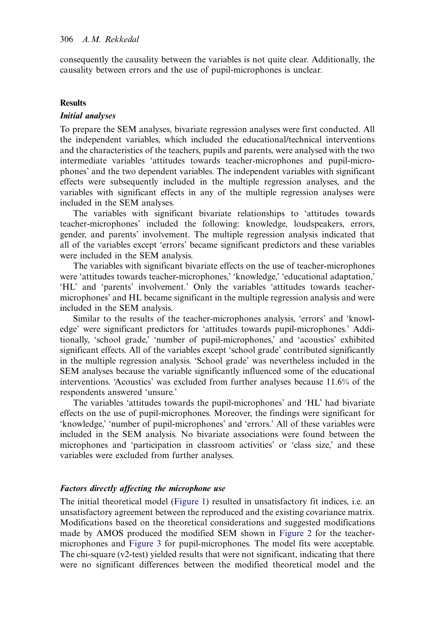consequently the causality between the variables is not quite clear. Additionally, the causality between errors and the use of pupil-microphones is unclear.

### **Results**

#### Initial analyses

To prepare the SEM analyses, bivariate regression analyses were first conducted. All the independent variables, which included the educational/technical interventions and the characteristics of the teachers, pupils and parents, were analysed with the two intermediate variables 'attitudes towards teacher-microphones and pupil-microphones' and the two dependent variables. The independent variables with significant effects were subsequently included in the multiple regression analyses, and the variables with significant effects in any of the multiple regression analyses were included in the SEM analyses.

The variables with significant bivariate relationships to 'attitudes towards teacher-microphones' included the following: knowledge, loudspeakers, errors, gender, and parents' involvement. The multiple regression analysis indicated that all of the variables except 'errors' became significant predictors and these variables were included in the SEM analysis.

The variables with significant bivariate effects on the use of teacher-microphones were 'attitudes towards teacher-microphones,' 'knowledge,' 'educational adaptation,' 'HL' and 'parents' involvement.' Only the variables 'attitudes towards teachermicrophones' and HL became significant in the multiple regression analysis and were included in the SEM analysis.

Similar to the results of the teacher-microphones analysis, 'errors' and 'knowledge' were significant predictors for 'attitudes towards pupil-microphones.' Additionally, 'school grade,' 'number of pupil-microphones,' and 'acoustics' exhibited significant effects. All of the variables except 'school grade' contributed significantly in the multiple regression analysis. 'School grade' was nevertheless included in the SEM analyses because the variable significantly influenced some of the educational interventions. 'Acoustics' was excluded from further analyses because 11.6% of the respondents answered 'unsure.'

The variables 'attitudes towards the pupil-microphones' and 'HL' had bivariate effects on the use of pupil-microphones. Moreover, the findings were significant for 'knowledge,' 'number of pupil-microphones' and 'errors.' All of these variables were included in the SEM analysis. No bivariate associations were found between the microphones and 'participation in classroom activities' or 'class size,' and these variables were excluded from further analyses.

## Factors directly affecting the microphone use

The initial theoretical model [\(Figure 1\)](#page-3-0) resulted in unsatisfactory fit indices, i.e. an unsatisfactory agreement between the reproduced and the existing covariance matrix. Modifications based on the theoretical considerations and suggested modifications made by AMOS produced the modified SEM shown in [Figure 2](#page-10-0) for the teachermicrophones and [Figure 3](#page-10-0) for pupil-microphones. The model fits were acceptable. The chi-square (v2-test) yielded results that were not significant, indicating that there were no significant differences between the modified theoretical model and the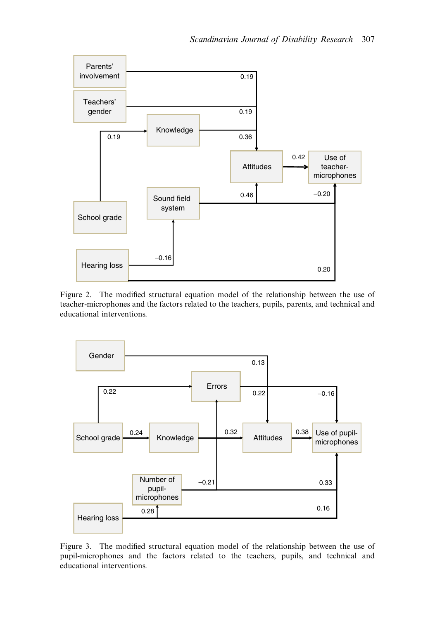<span id="page-10-0"></span>

Figure 2. The modified structural equation model of the relationship between the use of teacher-microphones and the factors related to the teachers, pupils, parents, and technical and educational interventions.



Figure 3. The modified structural equation model of the relationship between the use of pupil-microphones and the factors related to the teachers, pupils, and technical and educational interventions.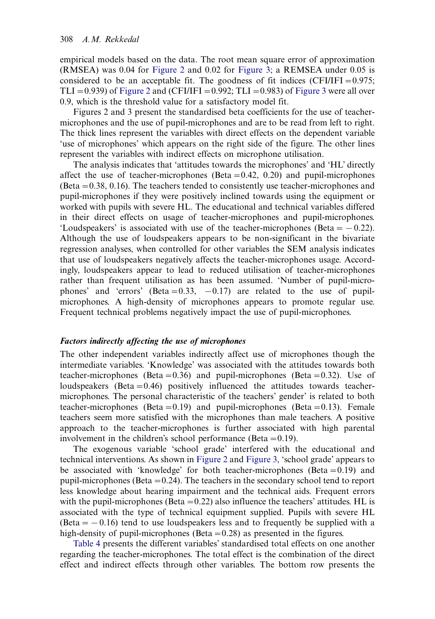empirical models based on the data. The root mean square error of approximation (RMSEA) was 0.04 for [Figure 2](#page-10-0) and 0.02 for [Figure 3;](#page-10-0) a REMSEA under 0.05 is considered to be an acceptable fit. The goodness of fit indices (CFI/IFI $=0.975$ ; TLI = 0.939) of [Figure 2](#page-10-0) and (CFI/IFI = 0.992; TLI = 0.983) of [Figure 3](#page-10-0) were all over 0.9, which is the threshold value for a satisfactory model fit.

Figures 2 and 3 present the standardised beta coefficients for the use of teachermicrophones and the use of pupil-microphones and are to be read from left to right. The thick lines represent the variables with direct effects on the dependent variable 'use of microphones' which appears on the right side of the figure. The other lines represent the variables with indirect effects on microphone utilisation.

The analysis indicates that 'attitudes towards the microphones' and 'HL' directly affect the use of teacher-microphones (Beta =  $0.42$ , 0.20) and pupil-microphones  $(Beta = 0.38, 0.16)$ . The teachers tended to consistently use teacher-microphones and pupil-microphones if they were positively inclined towards using the equipment or worked with pupils with severe HL. The educational and technical variables differed in their direct effects on usage of teacher-microphones and pupil-microphones. 'Loudspeakers' is associated with use of the teacher-microphones (Beta  $=$  -0.22). Although the use of loudspeakers appears to be non-significant in the bivariate regression analyses, when controlled for other variables the SEM analysis indicates that use of loudspeakers negatively affects the teacher-microphones usage. Accordingly, loudspeakers appear to lead to reduced utilisation of teacher-microphones rather than frequent utilisation as has been assumed. 'Number of pupil-microphones' and 'errors' (Beta =  $0.33$ , - $0.17$ ) are related to the use of pupilmicrophones. A high-density of microphones appears to promote regular use. Frequent technical problems negatively impact the use of pupil-microphones.

#### Factors indirectly affecting the use of microphones

The other independent variables indirectly affect use of microphones though the intermediate variables. 'Knowledge' was associated with the attitudes towards both teacher-microphones (Beta =  $0.36$ ) and pupil-microphones (Beta =  $0.32$ ). Use of loudspeakers (Beta $=0.46$ ) positively influenced the attitudes towards teachermicrophones. The personal characteristic of the teachers' gender' is related to both teacher-microphones (Beta =  $0.19$ ) and pupil-microphones (Beta =  $0.13$ ). Female teachers seem more satisfied with the microphones than male teachers. A positive approach to the teacher-microphones is further associated with high parental involvement in the children's school performance (Beta =  $0.19$ ).

The exogenous variable 'school grade' interfered with the educational and technical interventions. As shown in [Figure 2](#page-10-0) and [Figure 3](#page-10-0), 'school grade' appears to be associated with 'knowledge' for both teacher-microphones (Beta $=0.19$ ) and pupil-microphones (Beta  $=0.24$ ). The teachers in the secondary school tend to report less knowledge about hearing impairment and the technical aids. Frequent errors with the pupil-microphones (Beta  $=0.22$ ) also influence the teachers' attitudes. HL is associated with the type of technical equipment supplied. Pupils with severe HL  $(Beta = -0.16)$  tend to use loudspeakers less and to frequently be supplied with a high-density of pupil-microphones (Beta =  $0.28$ ) as presented in the figures.

[Table 4](#page-12-0) presents the different variables' standardised total effects on one another regarding the teacher-microphones. The total effect is the combination of the direct effect and indirect effects through other variables. The bottom row presents the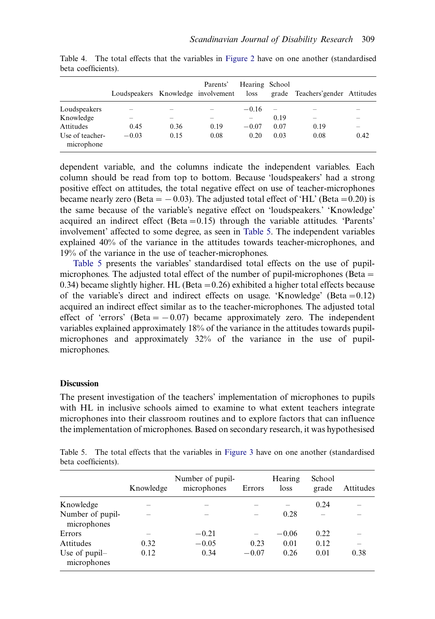|                               | Loudspeakers Knowledge involvement |      | Parents' | Hearing School<br>loss |      | grade Teachers' gender Attitudes |      |
|-------------------------------|------------------------------------|------|----------|------------------------|------|----------------------------------|------|
| Loudspeakers                  |                                    |      |          | $-0.16$                |      |                                  |      |
| Knowledge                     |                                    |      |          |                        | 0.19 |                                  |      |
| Attitudes                     | 0.45                               | 0.36 | 0.19     | $-0.07$                | 0.07 | 0.19                             |      |
| Use of teacher-<br>microphone | $-0.03$                            | 0.15 | 0.08     | 0.20                   | 0.03 | 0.08                             | 0.42 |

<span id="page-12-0"></span>Table 4. The total effects that the variables in [Figure 2](#page-10-0) have on one another (standardised beta coefficients).

dependent variable, and the columns indicate the independent variables. Each column should be read from top to bottom. Because 'loudspeakers' had a strong positive effect on attitudes, the total negative effect on use of teacher-microphones became nearly zero (Beta  $=$  -0.03). The adjusted total effect of 'HL' (Beta = 0.20) is the same because of the variable's negative effect on 'loudspeakers.' 'Knowledge' acquired an indirect effect (Beta $=0.15$ ) through the variable attitudes. 'Parents' involvement' affected to some degree, as seen in Table 5. The independent variables explained 40% of the variance in the attitudes towards teacher-microphones, and 19% of the variance in the use of teacher-microphones.

Table 5 presents the variables' standardised total effects on the use of pupilmicrophones. The adjusted total effect of the number of pupil-microphones (Beta 0.34) became slightly higher. HL (Beta =  $0.26$ ) exhibited a higher total effects because of the variable's direct and indirect effects on usage. 'Knowledge' (Beta $=0.12$ ) acquired an indirect effect similar as to the teacher-microphones. The adjusted total effect of 'errors' (Beta $=0.07$ ) became approximately zero. The independent variables explained approximately 18% of the variance in the attitudes towards pupilmicrophones and approximately 32% of the variance in the use of pupilmicrophones.

#### **Discussion**

The present investigation of the teachers' implementation of microphones to pupils with HL in inclusive schools aimed to examine to what extent teachers integrate microphones into their classroom routines and to explore factors that can influence the implementation of microphones. Based on secondary research, it was hypothesised

Table 5. The total effects that the variables in [Figure 3](#page-10-0) have on one another (standardised beta coefficients).

|                                 | Knowledge | Number of pupil-<br>microphones | Errors  | Hearing<br>loss | School<br>grade | Attitudes |
|---------------------------------|-----------|---------------------------------|---------|-----------------|-----------------|-----------|
| Knowledge                       |           |                                 |         |                 | 0.24            |           |
| Number of pupil-<br>microphones |           |                                 |         | 0.28            |                 |           |
| Errors                          | -         | $-0.21$                         |         | $-0.06$         | 0.22            |           |
| Attitudes                       | 0.32      | $-0.05$                         | 0.23    | 0.01            | 0.12            |           |
| Use of $pupil-$<br>microphones  | 0.12      | 0.34                            | $-0.07$ | 0.26            | 0.01            | 0.38      |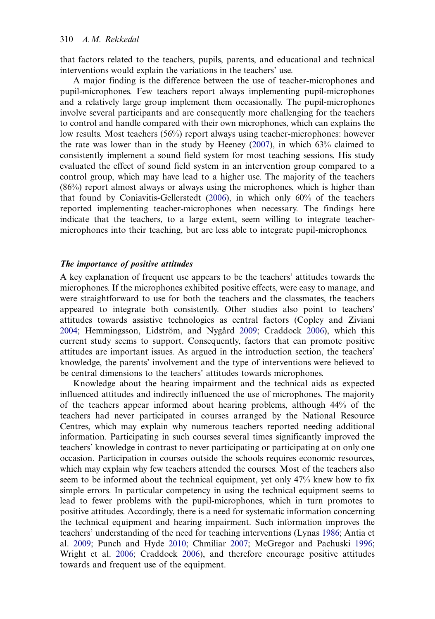that factors related to the teachers, pupils, parents, and educational and technical interventions would explain the variations in the teachers' use.

A major finding is the difference between the use of teacher-microphones and pupil-microphones. Few teachers report always implementing pupil-microphones and a relatively large group implement them occasionally. The pupil-microphones involve several participants and are consequently more challenging for the teachers to control and handle compared with their own microphones, which can explains the low results. Most teachers (56%) report always using teacher-microphones: however the rate was lower than in the study by Heeney [\(2007\)](#page-17-0), in which 63% claimed to consistently implement a sound field system for most teaching sessions. His study evaluated the effect of sound field system in an intervention group compared to a control group, which may have lead to a higher use. The majority of the teachers (86%) report almost always or always using the microphones, which is higher than that found by Coniavitis-Gellerstedt ([2006\)](#page-16-0), in which only 60% of the teachers reported implementing teacher-microphones when necessary. The findings here indicate that the teachers, to a large extent, seem willing to integrate teachermicrophones into their teaching, but are less able to integrate pupil-microphones.

## The importance of positive attitudes

A key explanation of frequent use appears to be the teachers' attitudes towards the microphones. If the microphones exhibited positive effects, were easy to manage, and were straightforward to use for both the teachers and the classmates, the teachers appeared to integrate both consistently. Other studies also point to teachers' attitudes towards assistive technologies as central factors (Copley and Ziviani [2004;](#page-17-0) Hemmingsson, Lidström, and Nygård [2009;](#page-17-0) Craddock [2006\)](#page-17-0), which this current study seems to support. Consequently, factors that can promote positive attitudes are important issues. As argued in the introduction section, the teachers' knowledge, the parents' involvement and the type of interventions were believed to be central dimensions to the teachers' attitudes towards microphones.

Knowledge about the hearing impairment and the technical aids as expected influenced attitudes and indirectly influenced the use of microphones. The majority of the teachers appear informed about hearing problems, although 44% of the teachers had never participated in courses arranged by the National Resource Centres, which may explain why numerous teachers reported needing additional information. Participating in such courses several times significantly improved the teachers' knowledge in contrast to never participating or participating at on only one occasion. Participation in courses outside the schools requires economic resources, which may explain why few teachers attended the courses. Most of the teachers also seem to be informed about the technical equipment, yet only 47% knew how to fix simple errors. In particular competency in using the technical equipment seems to lead to fewer problems with the pupil-microphones, which in turn promotes to positive attitudes. Accordingly, there is a need for systematic information concerning the technical equipment and hearing impairment. Such information improves the teachers' understanding of the need for teaching interventions (Lynas [1986](#page-17-0); Antia et al. [2009](#page-16-0); Punch and Hyde [2010](#page-18-0); Chmiliar [2007](#page-16-0); McGregor and Pachuski [1996](#page-17-0); Wright et al. [2006](#page-18-0); Craddock [2006\)](#page-17-0), and therefore encourage positive attitudes towards and frequent use of the equipment.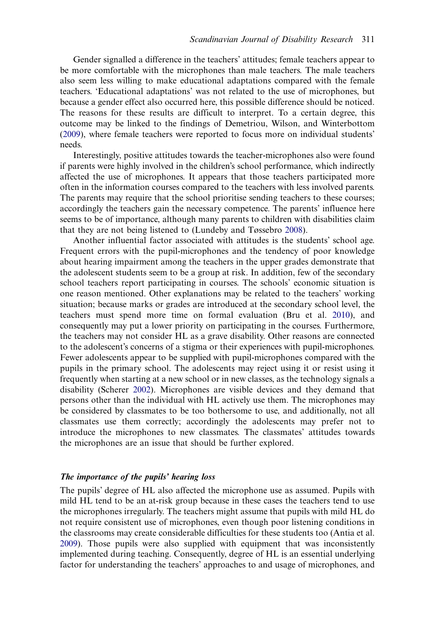Gender signalled a difference in the teachers' attitudes; female teachers appear to be more comfortable with the microphones than male teachers. The male teachers also seem less willing to make educational adaptations compared with the female teachers. 'Educational adaptations' was not related to the use of microphones, but because a gender effect also occurred here, this possible difference should be noticed. The reasons for these results are difficult to interpret. To a certain degree, this outcome may be linked to the findings of Demetriou, Wilson, and Winterbottom [\(2009](#page-17-0)), where female teachers were reported to focus more on individual students' needs.

Interestingly, positive attitudes towards the teacher-microphones also were found if parents were highly involved in the children's school performance, which indirectly affected the use of microphones. It appears that those teachers participated more often in the information courses compared to the teachers with less involved parents. The parents may require that the school prioritise sending teachers to these courses; accordingly the teachers gain the necessary competence. The parents' influence here seems to be of importance, although many parents to children with disabilities claim that they are not being listened to (Lundeby and Tøssebro [2008](#page-17-0)).

Another influential factor associated with attitudes is the students' school age. Frequent errors with the pupil-microphones and the tendency of poor knowledge about hearing impairment among the teachers in the upper grades demonstrate that the adolescent students seem to be a group at risk. In addition, few of the secondary school teachers report participating in courses. The schools' economic situation is one reason mentioned. Other explanations may be related to the teachers' working situation; because marks or grades are introduced at the secondary school level, the teachers must spend more time on formal evaluation (Bru et al. [2010](#page-16-0)), and consequently may put a lower priority on participating in the courses. Furthermore, the teachers may not consider HL as a grave disability. Other reasons are connected to the adolescent's concerns of a stigma or their experiences with pupil-microphones. Fewer adolescents appear to be supplied with pupil-microphones compared with the pupils in the primary school. The adolescents may reject using it or resist using it frequently when starting at a new school or in new classes, as the technology signals a disability (Scherer [2002\)](#page-18-0). Microphones are visible devices and they demand that persons other than the individual with HL actively use them. The microphones may be considered by classmates to be too bothersome to use, and additionally, not all classmates use them correctly; accordingly the adolescents may prefer not to introduce the microphones to new classmates. The classmates' attitudes towards the microphones are an issue that should be further explored.

## The importance of the pupils' hearing loss

The pupils' degree of HL also affected the microphone use as assumed. Pupils with mild HL tend to be an at-risk group because in these cases the teachers tend to use the microphones irregularly. The teachers might assume that pupils with mild HL do not require consistent use of microphones, even though poor listening conditions in the classrooms may create considerable difficulties for these students too (Antia et al. [2009\)](#page-16-0). Those pupils were also supplied with equipment that was inconsistently implemented during teaching. Consequently, degree of HL is an essential underlying factor for understanding the teachers' approaches to and usage of microphones, and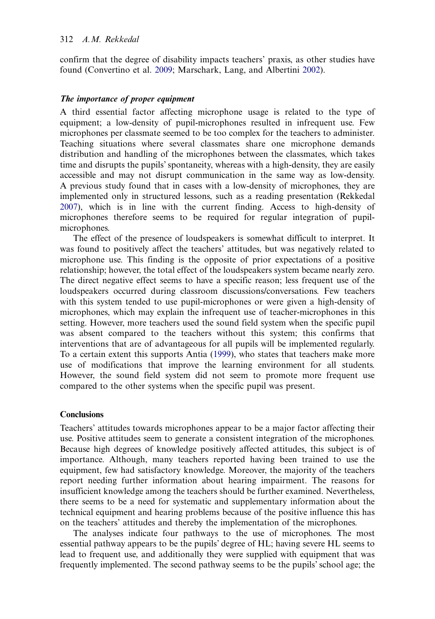confirm that the degree of disability impacts teachers' praxis, as other studies have found (Convertino et al. [2009;](#page-16-0) Marschark, Lang, and Albertini [2002](#page-17-0)).

## The importance of proper equipment

A third essential factor affecting microphone usage is related to the type of equipment; a low-density of pupil-microphones resulted in infrequent use. Few microphones per classmate seemed to be too complex for the teachers to administer. Teaching situations where several classmates share one microphone demands distribution and handling of the microphones between the classmates, which takes time and disrupts the pupils' spontaneity, whereas with a high-density, they are easily accessible and may not disrupt communication in the same way as low-density. A previous study found that in cases with a low-density of microphones, they are implemented only in structured lessons, such as a reading presentation (Rekkedal [2007\)](#page-18-0), which is in line with the current finding. Access to high-density of microphones therefore seems to be required for regular integration of pupilmicrophones.

The effect of the presence of loudspeakers is somewhat difficult to interpret. It was found to positively affect the teachers' attitudes, but was negatively related to microphone use. This finding is the opposite of prior expectations of a positive relationship; however, the total effect of the loudspeakers system became nearly zero. The direct negative effect seems to have a specific reason; less frequent use of the loudspeakers occurred during classroom discussions/conversations. Few teachers with this system tended to use pupil-microphones or were given a high-density of microphones, which may explain the infrequent use of teacher-microphones in this setting. However, more teachers used the sound field system when the specific pupil was absent compared to the teachers without this system; this confirms that interventions that are of advantageous for all pupils will be implemented regularly. To a certain extent this supports Antia ([1999\)](#page-16-0), who states that teachers make more use of modifications that improve the learning environment for all students. However, the sound field system did not seem to promote more frequent use compared to the other systems when the specific pupil was present.

### **Conclusions**

Teachers' attitudes towards microphones appear to be a major factor affecting their use. Positive attitudes seem to generate a consistent integration of the microphones. Because high degrees of knowledge positively affected attitudes, this subject is of importance. Although, many teachers reported having been trained to use the equipment, few had satisfactory knowledge. Moreover, the majority of the teachers report needing further information about hearing impairment. The reasons for insufficient knowledge among the teachers should be further examined. Nevertheless, there seems to be a need for systematic and supplementary information about the technical equipment and hearing problems because of the positive influence this has on the teachers' attitudes and thereby the implementation of the microphones.

The analyses indicate four pathways to the use of microphones. The most essential pathway appears to be the pupils' degree of HL; having severe HL seems to lead to frequent use, and additionally they were supplied with equipment that was frequently implemented. The second pathway seems to be the pupils' school age; the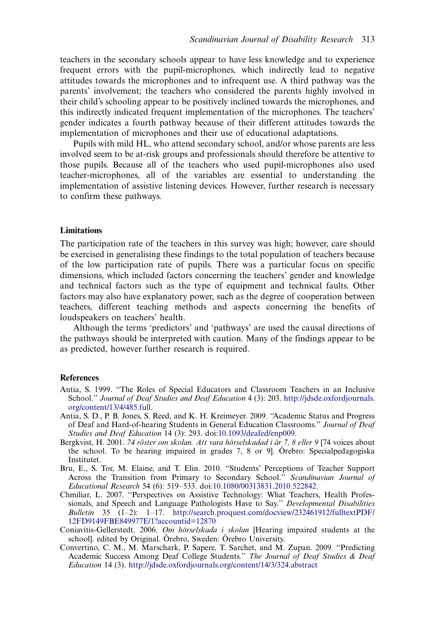<span id="page-16-0"></span>teachers in the secondary schools appear to have less knowledge and to experience frequent errors with the pupil-microphones, which indirectly lead to negative attitudes towards the microphones and to infrequent use. A third pathway was the parents' involvement; the teachers who considered the parents highly involved in their child's schooling appear to be positively inclined towards the microphones, and this indirectly indicated frequent implementation of the microphones. The teachers' gender indicates a fourth pathway because of their different attitudes towards the implementation of microphones and their use of educational adaptations.

Pupils with mild HL, who attend secondary school, and/or whose parents are less involved seem to be at-risk groups and professionals should therefore be attentive to those pupils. Because all of the teachers who used pupil-microphones also used teacher-microphones, all of the variables are essential to understanding the implementation of assistive listening devices. However, further research is necessary to confirm these pathways.

### Limitations

The participation rate of the teachers in this survey was high; however, care should be exercised in generalising these findings to the total population of teachers because of the low participation rate of pupils. There was a particular focus on specific dimensions, which included factors concerning the teachers' gender and knowledge and technical factors such as the type of equipment and technical faults. Other factors may also have explanatory power, such as the degree of cooperation between teachers, different teaching methods and aspects concerning the benefits of loudspeakers on teachers' health.

Although the terms 'predictors' and 'pathways' are used the causal directions of the pathways should be interpreted with caution. Many of the findings appear to be as predicted, however further research is required.

#### References

- Antia, S. 1999. ''The Roles of Special Educators and Classroom Teachers in an Inclusive School." Journal of Deaf Studies and Deaf Education 4 (3): 203. [http://jdsde.oxfordjournals.](http://jdsde.oxfordjournals.org/content/13/4/485.full) [org/content/13/4/485.full](http://jdsde.oxfordjournals.org/content/13/4/485.full).
- Antia, S. D., P. B. Jones, S. Reed, and K. H. Kreimeyer. 2009. ''Academic Status and Progress of Deaf and Hard-of-hearing Students in General Education Classrooms.'' Journal of Deaf Studies and Deaf Education 14 (3): 293. doi:[10.1093/deafed/enp009](http://dx.doi.org/10.1093/deafed/enp009).
- Bergkvist, H. 2001. 74 röster om skolan. Att vara hörselskadad i år 7, 8 eller 9 [74 voices about the school. To be hearing impaired in grades  $7, 8$  or  $9$ ]. Orebro: Specialpedagogiska Institutet.
- Bru, E., S. Tor, M. Elaine, and T. Elin. 2010. ''Students' Perceptions of Teacher Support Across the Transition from Primary to Secondary School.'' Scandinavian Journal of Educational Research 54 (6): 519-533. doi[:10.1080/00313831.2010.522842.](http://dx.doi.org/10.1080/00313831.2010.522842)
- Chmiliar, L. 2007. ''Perspectives on Assistive Technology: What Teachers, Health Professionals, and Speech and Language Pathologists Have to Say.'' Developmental Disabilities Bulletin 35 (1-2): 1-17. [http://search.proquest.com/docview/232461912/fulltextPDF/](http://search.proquest.com/docview/232461912/fulltextPDF/12FD9149FBE849977E/1?accountid=12870) [12FD9149FBE849977E/1?accountid=12870](http://search.proquest.com/docview/232461912/fulltextPDF/12FD9149FBE849977E/1?accountid=12870)
- Coniavitis-Gellerstedt. 2006. Om hörselskada i skolan [Hearing impaired students at the school]. edited by Original. Örebro, Sweden: Örebro University.
- Convertino, C. M., M. Marschark, P. Sapere, T. Sarchet, and M. Zupan. 2009. ''Predicting Academic Success Among Deaf College Students." The Journal of Deaf Studies & Deaf Education 14 (3). <http://jdsde.oxfordjournals.org/content/14/3/324.abstract>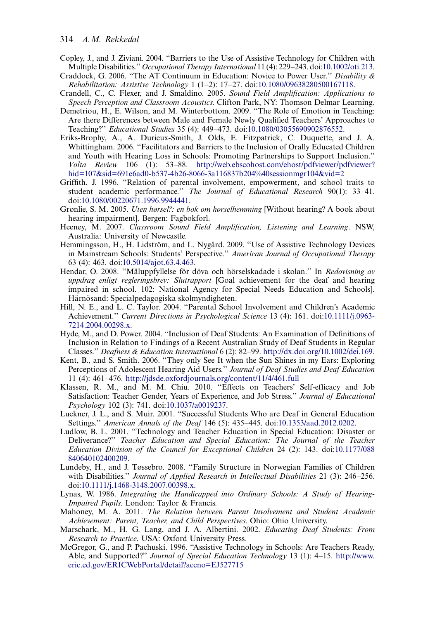- <span id="page-17-0"></span>Copley, J., and J. Ziviani. 2004. ''Barriers to the Use of Assistive Technology for Children with Multiple Disabilities." Occupational Therapy International 11 (4): 229–243. doi[:10.1002/oti.213.](http://dx.doi.org/10.1002/oti.213)
- Craddock, G. 2006. ''The AT Continuum in Education: Novice to Power User.'' Disability & Rehabilitation: Assistive Technology 1 (1-2): 17-27. doi:[10.1080/09638280500167118.](http://dx.doi.org/10.1080/09638280500167118)
- Crandell, C., C. Flexer, and J. Smaldino. 2005. Sound Field Amplification: Applications to Speech Perception and Classroom Acoustics. Clifton Park, NY: Thomson Delmar Learning.
- Demetriou, H., E. Wilson, and M. Winterbottom. 2009. ''The Role of Emotion in Teaching: Are there Differences between Male and Female Newly Qualified Teachers' Approaches to Teaching?'' Educational Studies 35 (4): 449-473. doi:[10.1080/03055690902876552.](http://dx.doi.org/10.1080/03055690902876552)
- Eriks-Brophy, A., A. Durieux-Smith, J. Olds, E. Fitzpatrick, C. Duquette, and J. A. Whittingham. 2006. ''Facilitators and Barriers to the Inclusion of Orally Educated Children and Youth with Hearing Loss in Schools: Promoting Partnerships to Support Inclusion.'' Volta Review 106 (1): 53-88. [http://web.ebscohost.com/ehost/pdfviewer/pdfviewer?](http://web.ebscohost.com/ehost/pdfviewer/pdfviewer?hid=107&sid=691e6ad0-b537-4b26-8066-3a116837b204%2540sessionmgr104&vid=2) [hid=107&sid=691e6ad0-b537-4b26-8066-3a116837b204%40sessionmgr104&vid=2](http://web.ebscohost.com/ehost/pdfviewer/pdfviewer?hid=107&sid=691e6ad0-b537-4b26-8066-3a116837b204%2540sessionmgr104&vid=2)
- Griffith, J. 1996. ''Relation of parental involvement, empowerment, and school traits to student academic performance." The Journal of Educational Research 90(1): 33-41. doi[:10.1080/00220671.1996.9944441](http://dx.doi.org/10.1080/00220671.1996.9944441).
- Grønlie, S. M. 2005. Uten hørsel?: en bok om hørselhemming [Without hearing? A book about hearing impairment]. Bergen: Fagbokforl.
- Heeney, M. 2007. Classroom Sound Field Amplification, Listening and Learning. NSW, Australia: University of Newcastle.
- Hemmingsson, H., H. Lidström, and L. Nygård. 2009. "Use of Assistive Technology Devices in Mainstream Schools: Students' Perspective." American Journal of Occupational Therapy 63 (4): 463. doi:[10.5014/ajot.63.4.463.](http://dx.doi.org/10.5014/ajot.63.4.463)
- Hendar, O. 2008. "Måluppfyllelse för döva och hörselskadade i skolan." In Redovisning av uppdrag enligt regleringsbrey: Slutrapport [Goal achievement for the deaf and hearing impaired in school. 102: National Agency for Special Needs Education and Schools]. Härnösand: Specialpedagogiska skolmyndigheten.
- Hill, N. E., and L. C. Taylor. 2004. ''Parental School Involvement and Children's Academic Achievement.'' Current Directions in Psychological Science 13 (4): 161. doi:[10.1111/j.0963-](http://dx.doi.org/10.1111/j.0963-7214.2004.00298.x) [7214.2004.00298.x.](http://dx.doi.org/10.1111/j.0963-7214.2004.00298.x)
- Hyde, M., and D. Power. 2004. ''Inclusion of Deaf Students: An Examination of Definitions of Inclusion in Relation to Findings of a Recent Australian Study of Deaf Students in Regular Classes." Deafness & Education International 6 (2): 82-99. [http://dx.doi.org/10.1002/dei.169.](http://dx.doi.org/10.1002/dei.169)
- Kent, B., and S. Smith. 2006. ''They only See It when the Sun Shines in my Ears: Exploring Perceptions of Adolescent Hearing Aid Users.'' Journal of Deaf Studies and Deaf Education 11 (4): 461-476. <http://jdsde.oxfordjournals.org/content/11/4/461.full>
- Klassen, R. M., and M. M. Chiu. 2010. ''Effects on Teachers' Self-efficacy and Job Satisfaction: Teacher Gender, Years of Experience, and Job Stress." Journal of Educational Psychology 102 (3): 741. doi:[10.1037/a0019237](http://dx.doi.org/10.1037/a0019237).
- Luckner, J. L., and S. Muir. 2001. ''Successful Students Who are Deaf in General Education Settings.'' American Annals of the Deaf 146 (5): 435-445. doi:[10.1353/aad.2012.0202](http://dx.doi.org/10.1353/aad.2012.0202).
- Ludlow, B. L. 2001. ''Technology and Teacher Education in Special Education: Disaster or Deliverance?'' Teacher Education and Special Education: The Journal of the Teacher Education Division of the Council for Exceptional Children 24 (2): 143. doi:[10.1177/088](http://dx.doi.org/840640102400209) [840640102400209.](http://dx.doi.org/840640102400209)
- Lundeby, H., and J. Tøssebro. 2008. ''Family Structure in Norwegian Families of Children with Disabilities." Journal of Applied Research in Intellectual Disabilities 21 (3): 246–256. doi[:10.1111/j.1468-3148.2007.00398.x.](http://dx.doi.org/10.1111/j.1468-3148.2007.00398.x)
- Lynas, W. 1986. Integrating the Handicapped into Ordinary Schools: A Study of Hearing-Impaired Pupils. London: Taylor & Francis.
- Mahoney, M. A. 2011. The Relation between Parent Involvement and Student Academic Achievement: Parent, Teacher, and Child Perspectives. Ohio: Ohio University.
- Marschark, M., H. G. Lang, and J. A. Albertini. 2002. Educating Deaf Students: From Research to Practice. USA: Oxford University Press.
- McGregor, G., and P. Pachuski. 1996. ''Assistive Technology in Schools: Are Teachers Ready, Able, and Supported?" Journal of Special Education Technology 13 (1): 4-15. [http://www.](http://www.eric.ed.gov/ERICWebPortal/detail?accno=EJ527715) [eric.ed.gov/ERICWebPortal/detail?accno=EJ527715](http://www.eric.ed.gov/ERICWebPortal/detail?accno=EJ527715)